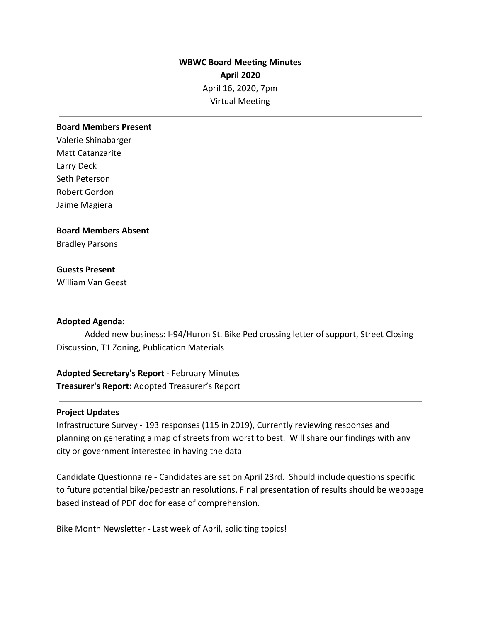# **WBWC Board Meeting Minutes April 2020** April 16, 2020, 7pm Virtual Meeting

## **Board Members Present**

Valerie Shinabarger Matt Catanzarite Larry Deck Seth Peterson Robert Gordon Jaime Magiera

# **Board Members Absent**

Bradley Parsons

# **Guests Present**

William Van Geest

## **Adopted Agenda:**

Added new business: I-94/Huron St. Bike Ped crossing letter of support, Street Closing Discussion, T1 Zoning, Publication Materials

**Adopted Secretary's Report** - February Minutes **Treasurer's Report:** Adopted Treasurer's Report

## **Project Updates**

Infrastructure Survey - 193 responses (115 in 2019), Currently reviewing responses and planning on generating a map of streets from worst to best. Will share our findings with any city or government interested in having the data

Candidate Questionnaire - Candidates are set on April 23rd. Should include questions specific to future potential bike/pedestrian resolutions. Final presentation of results should be webpage based instead of PDF doc for ease of comprehension.

Bike Month Newsletter - Last week of April, soliciting topics!